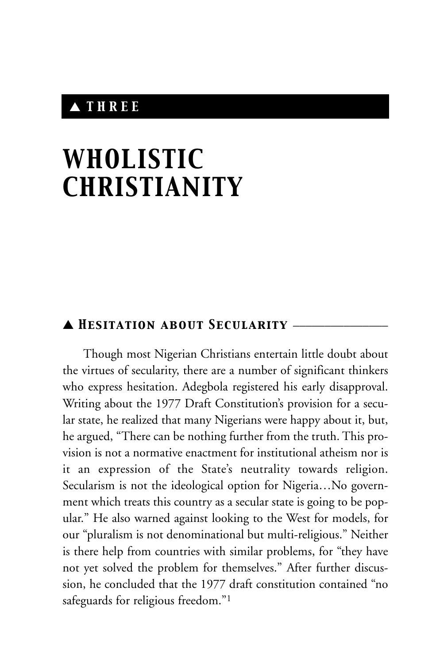# ▲ *THREE*

# *WHOLISTIC CHRISTIANITY*

## ▲ *Hesitation about Secularity* \_\_\_\_\_\_\_\_\_\_\_\_\_\_\_

Though most Nigerian Christians entertain little doubt about the virtues of secularity, there are a number of significant thinkers who express hesitation. Adegbola registered his early disapproval. Writing about the 1977 Draft Constitution's provision for a secular state, he realized that many Nigerians were happy about it, but, he argued, "There can be nothing further from the truth. This provision is not a normative enactment for institutional atheism nor is it an expression of the State's neutrality towards religion. Secularism is not the ideological option for Nigeria…No government which treats this country as a secular state is going to be popular." He also warned against looking to the West for models, for our "pluralism is not denominational but multi-religious." Neither is there help from countries with similar problems, for "they have not yet solved the problem for themselves." After further discussion, he concluded that the 1977 draft constitution contained "no safeguards for religious freedom."<sup>1</sup>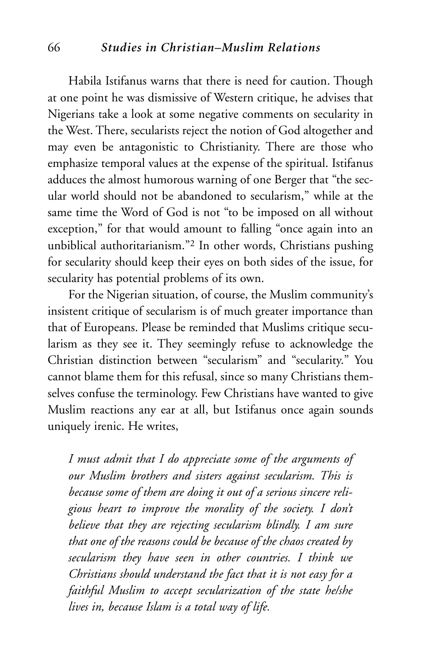#### 66 *Studies in Christian–Muslim Relations*

Habila Istifanus warns that there is need for caution. Though at one point he was dismissive of Western critique, he advises that Nigerians take a look at some negative comments on secularity in the West. There, secularists reject the notion of God altogether and may even be antagonistic to Christianity. There are those who emphasize temporal values at the expense of the spiritual. Istifanus adduces the almost humorous warning of one Berger that "the secular world should not be abandoned to secularism," while at the same time the Word of God is not "to be imposed on all without exception," for that would amount to falling "once again into an unbiblical authoritarianism."2 In other words, Christians pushing for secularity should keep their eyes on both sides of the issue, for secularity has potential problems of its own.

For the Nigerian situation, of course, the Muslim community's insistent critique of secularism is of much greater importance than that of Europeans. Please be reminded that Muslims critique secularism as they see it. They seemingly refuse to acknowledge the Christian distinction between "secularism" and "secularity." You cannot blame them for this refusal, since so many Christians themselves confuse the terminology. Few Christians have wanted to give Muslim reactions any ear at all, but Istifanus once again sounds uniquely irenic. He writes,

*I must admit that I do appreciate some of the arguments of our Muslim brothers and sisters against secularism. This is because some of them are doing it out of a serious sincere religious heart to improve the morality of the society. I don't believe that they are rejecting secularism blindly. I am sure that one of the reasons could be because of the chaos created by secularism they have seen in other countries. I think we Christians should understand the fact that it is not easy for a faithful Muslim to accept secularization of the state he/she lives in, because Islam is a total way of life.*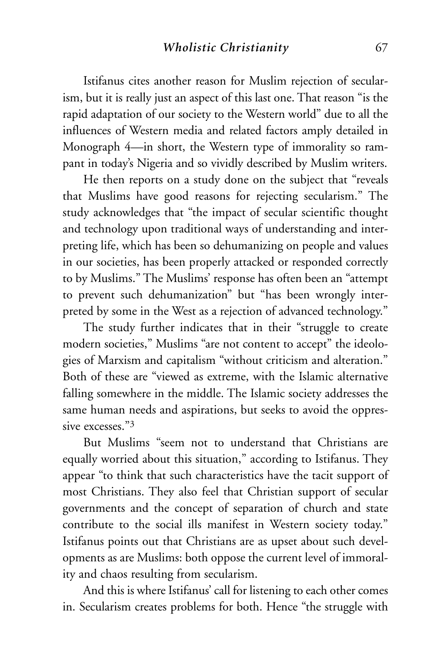Istifanus cites another reason for Muslim rejection of secularism, but it is really just an aspect of this last one. That reason "is the rapid adaptation of our society to the Western world" due to all the influences of Western media and related factors amply detailed in Monograph 4—in short, the Western type of immorality so rampant in today's Nigeria and so vividly described by Muslim writers.

He then reports on a study done on the subject that "reveals that Muslims have good reasons for rejecting secularism." The study acknowledges that "the impact of secular scientific thought and technology upon traditional ways of understanding and interpreting life, which has been so dehumanizing on people and values in our societies, has been properly attacked or responded correctly to by Muslims." The Muslims' response has often been an "attempt to prevent such dehumanization" but "has been wrongly interpreted by some in the West as a rejection of advanced technology."

The study further indicates that in their "struggle to create modern societies," Muslims "are not content to accept" the ideologies of Marxism and capitalism "without criticism and alteration." Both of these are "viewed as extreme, with the Islamic alternative falling somewhere in the middle. The Islamic society addresses the same human needs and aspirations, but seeks to avoid the oppressive excesses<sup>3</sup>

But Muslims "seem not to understand that Christians are equally worried about this situation," according to Istifanus. They appear "to think that such characteristics have the tacit support of most Christians. They also feel that Christian support of secular governments and the concept of separation of church and state contribute to the social ills manifest in Western society today." Istifanus points out that Christians are as upset about such developments as are Muslims: both oppose the current level of immorality and chaos resulting from secularism.

And this is where Istifanus' call for listening to each other comes in. Secularism creates problems for both. Hence "the struggle with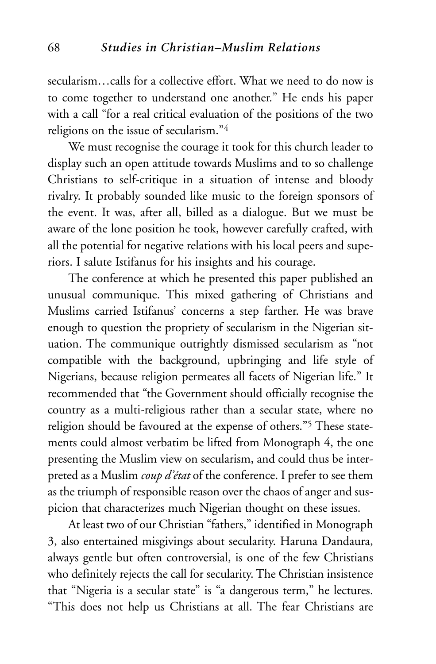secularism…calls for a collective effort. What we need to do now is to come together to understand one another." He ends his paper with a call "for a real critical evaluation of the positions of the two religions on the issue of secularism."4

We must recognise the courage it took for this church leader to display such an open attitude towards Muslims and to so challenge Christians to self-critique in a situation of intense and bloody rivalry. It probably sounded like music to the foreign sponsors of the event. It was, after all, billed as a dialogue. But we must be aware of the lone position he took, however carefully crafted, with all the potential for negative relations with his local peers and superiors. I salute Istifanus for his insights and his courage.

The conference at which he presented this paper published an unusual communique. This mixed gathering of Christians and Muslims carried Istifanus' concerns a step farther. He was brave enough to question the propriety of secularism in the Nigerian situation. The communique outrightly dismissed secularism as "not compatible with the background, upbringing and life style of Nigerians, because religion permeates all facets of Nigerian life." It recommended that "the Government should officially recognise the country as a multi-religious rather than a secular state, where no religion should be favoured at the expense of others."5 These statements could almost verbatim be lifted from Monograph 4, the one presenting the Muslim view on secularism, and could thus be interpreted as a Muslim *coup d'état* of the conference. I prefer to see them as the triumph of responsible reason over the chaos of anger and suspicion that characterizes much Nigerian thought on these issues.

At least two of our Christian "fathers," identified in Monograph 3, also entertained misgivings about secularity. Haruna Dandaura, always gentle but often controversial, is one of the few Christians who definitely rejects the call for secularity. The Christian insistence that "Nigeria is a secular state" is "a dangerous term," he lectures. "This does not help us Christians at all. The fear Christians are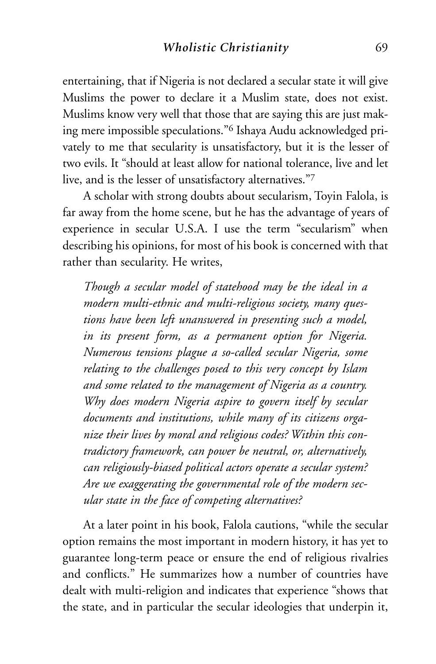entertaining, that if Nigeria is not declared a secular state it will give Muslims the power to declare it a Muslim state, does not exist. Muslims know very well that those that are saying this are just making mere impossible speculations."6 Ishaya Audu acknowledged privately to me that secularity is unsatisfactory, but it is the lesser of two evils. It "should at least allow for national tolerance, live and let live, and is the lesser of unsatisfactory alternatives."7

A scholar with strong doubts about secularism, Toyin Falola, is far away from the home scene, but he has the advantage of years of experience in secular U.S.A. I use the term "secularism" when describing his opinions, for most of his book is concerned with that rather than secularity. He writes,

*Though a secular model of statehood may be the ideal in a modern multi-ethnic and multi-religious society, many questions have been left unanswered in presenting such a model, in its present form, as a permanent option for Nigeria. Numerous tensions plague a so-called secular Nigeria, some relating to the challenges posed to this very concept by Islam and some related to the management of Nigeria as a country. Why does modern Nigeria aspire to govern itself by secular documents and institutions, while many of its citizens organize their lives by moral and religious codes? Within this contradictory framework, can power be neutral, or, alternatively, can religiously-biased political actors operate a secular system? Are we exaggerating the governmental role of the modern secular state in the face of competing alternatives?*

At a later point in his book, Falola cautions, "while the secular option remains the most important in modern history, it has yet to guarantee long-term peace or ensure the end of religious rivalries and conflicts." He summarizes how a number of countries have dealt with multi-religion and indicates that experience "shows that the state, and in particular the secular ideologies that underpin it,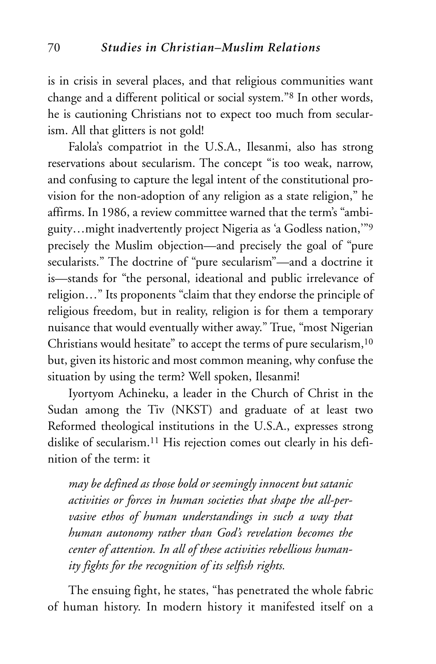is in crisis in several places, and that religious communities want change and a different political or social system."8 In other words, he is cautioning Christians not to expect too much from secularism. All that glitters is not gold!

Falola's compatriot in the U.S.A., Ilesanmi, also has strong reservations about secularism. The concept "is too weak, narrow, and confusing to capture the legal intent of the constitutional provision for the non-adoption of any religion as a state religion," he affirms. In 1986, a review committee warned that the term's "ambiguity…might inadvertently project Nigeria as 'a Godless nation,'"9 precisely the Muslim objection—and precisely the goal of "pure secularists." The doctrine of "pure secularism"—and a doctrine it is—stands for "the personal, ideational and public irrelevance of religion…" Its proponents "claim that they endorse the principle of religious freedom, but in reality, religion is for them a temporary nuisance that would eventually wither away." True, "most Nigerian Christians would hesitate" to accept the terms of pure secularism,<sup>10</sup> but, given its historic and most common meaning, why confuse the situation by using the term? Well spoken, Ilesanmi!

Iyortyom Achineku, a leader in the Church of Christ in the Sudan among the Tiv (NKST) and graduate of at least two Reformed theological institutions in the U.S.A., expresses strong dislike of secularism.11 His rejection comes out clearly in his definition of the term: it

*may be defined as those bold or seemingly innocent but satanic activities or forces in human societies that shape the all-pervasive ethos of human understandings in such a way that human autonomy rather than God's revelation becomes the center of attention. In all of these activities rebellious humanity fights for the recognition of its selfish rights.*

The ensuing fight, he states, "has penetrated the whole fabric of human history. In modern history it manifested itself on a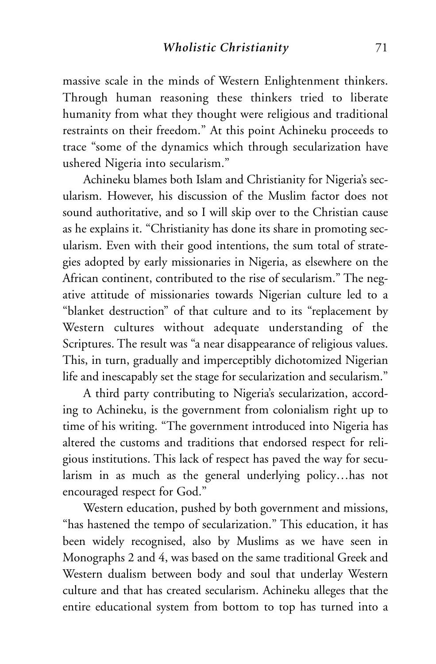massive scale in the minds of Western Enlightenment thinkers. Through human reasoning these thinkers tried to liberate humanity from what they thought were religious and traditional restraints on their freedom." At this point Achineku proceeds to trace "some of the dynamics which through secularization have ushered Nigeria into secularism."

Achineku blames both Islam and Christianity for Nigeria's secularism. However, his discussion of the Muslim factor does not sound authoritative, and so I will skip over to the Christian cause as he explains it. "Christianity has done its share in promoting secularism. Even with their good intentions, the sum total of strategies adopted by early missionaries in Nigeria, as elsewhere on the African continent, contributed to the rise of secularism." The negative attitude of missionaries towards Nigerian culture led to a "blanket destruction" of that culture and to its "replacement by Western cultures without adequate understanding of the Scriptures. The result was "a near disappearance of religious values. This, in turn, gradually and imperceptibly dichotomized Nigerian life and inescapably set the stage for secularization and secularism."

A third party contributing to Nigeria's secularization, according to Achineku, is the government from colonialism right up to time of his writing. "The government introduced into Nigeria has altered the customs and traditions that endorsed respect for religious institutions. This lack of respect has paved the way for secularism in as much as the general underlying policy…has not encouraged respect for God."

Western education, pushed by both government and missions, "has hastened the tempo of secularization." This education, it has been widely recognised, also by Muslims as we have seen in Monographs 2 and 4, was based on the same traditional Greek and Western dualism between body and soul that underlay Western culture and that has created secularism. Achineku alleges that the entire educational system from bottom to top has turned into a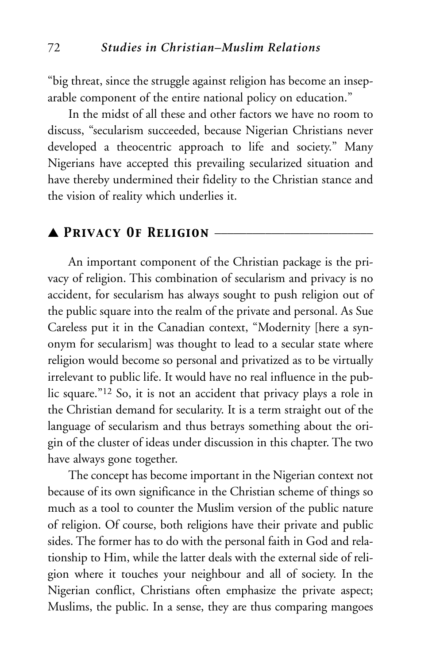"big threat, since the struggle against religion has become an inseparable component of the entire national policy on education."

In the midst of all these and other factors we have no room to discuss, "secularism succeeded, because Nigerian Christians never developed a theocentric approach to life and society." Many Nigerians have accepted this prevailing secularized situation and have thereby undermined their fidelity to the Christian stance and the vision of reality which underlies it.

#### ▲ *Privacy Of Religion* \_\_\_\_\_\_\_\_\_\_\_\_\_\_\_\_\_\_\_\_\_\_\_\_\_

An important component of the Christian package is the privacy of religion. This combination of secularism and privacy is no accident, for secularism has always sought to push religion out of the public square into the realm of the private and personal. As Sue Careless put it in the Canadian context, "Modernity [here a synonym for secularism] was thought to lead to a secular state where religion would become so personal and privatized as to be virtually irrelevant to public life. It would have no real influence in the public square."12 So, it is not an accident that privacy plays a role in the Christian demand for secularity. It is a term straight out of the language of secularism and thus betrays something about the origin of the cluster of ideas under discussion in this chapter. The two have always gone together.

The concept has become important in the Nigerian context not because of its own significance in the Christian scheme of things so much as a tool to counter the Muslim version of the public nature of religion. Of course, both religions have their private and public sides. The former has to do with the personal faith in God and relationship to Him, while the latter deals with the external side of religion where it touches your neighbour and all of society. In the Nigerian conflict, Christians often emphasize the private aspect; Muslims, the public. In a sense, they are thus comparing mangoes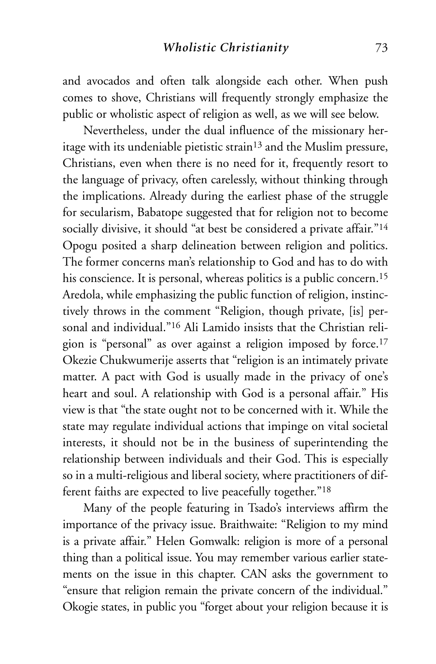and avocados and often talk alongside each other. When push comes to shove, Christians will frequently strongly emphasize the public or wholistic aspect of religion as well, as we will see below.

Nevertheless, under the dual influence of the missionary heritage with its undeniable pietistic strain13 and the Muslim pressure, Christians, even when there is no need for it, frequently resort to the language of privacy, often carelessly, without thinking through the implications. Already during the earliest phase of the struggle for secularism, Babatope suggested that for religion not to become socially divisive, it should "at best be considered a private affair."<sup>14</sup> Opogu posited a sharp delineation between religion and politics. The former concerns man's relationship to God and has to do with his conscience. It is personal, whereas politics is a public concern.<sup>15</sup> Aredola, while emphasizing the public function of religion, instinctively throws in the comment "Religion, though private, [is] personal and individual."16 Ali Lamido insists that the Christian religion is "personal" as over against a religion imposed by force.17 Okezie Chukwumerije asserts that "religion is an intimately private matter. A pact with God is usually made in the privacy of one's heart and soul. A relationship with God is a personal affair." His view is that "the state ought not to be concerned with it. While the state may regulate individual actions that impinge on vital societal interests, it should not be in the business of superintending the relationship between individuals and their God. This is especially so in a multi-religious and liberal society, where practitioners of different faiths are expected to live peacefully together."18

Many of the people featuring in Tsado's interviews affirm the importance of the privacy issue. Braithwaite: "Religion to my mind is a private affair." Helen Gomwalk: religion is more of a personal thing than a political issue. You may remember various earlier statements on the issue in this chapter. CAN asks the government to "ensure that religion remain the private concern of the individual." Okogie states, in public you "forget about your religion because it is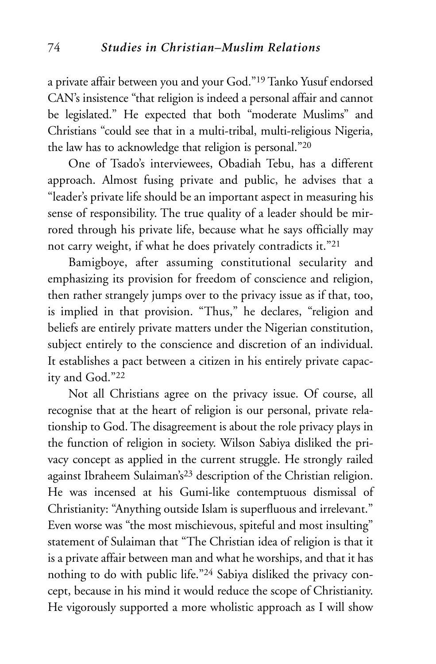a private affair between you and your God."19 Tanko Yusuf endorsed CAN's insistence "that religion is indeed a personal affair and cannot be legislated." He expected that both "moderate Muslims" and Christians "could see that in a multi-tribal, multi-religious Nigeria, the law has to acknowledge that religion is personal."20

One of Tsado's interviewees, Obadiah Tebu, has a different approach. Almost fusing private and public, he advises that a "leader's private life should be an important aspect in measuring his sense of responsibility. The true quality of a leader should be mirrored through his private life, because what he says officially may not carry weight, if what he does privately contradicts it."21

Bamigboye, after assuming constitutional secularity and emphasizing its provision for freedom of conscience and religion, then rather strangely jumps over to the privacy issue as if that, too, is implied in that provision. "Thus," he declares, "religion and beliefs are entirely private matters under the Nigerian constitution, subject entirely to the conscience and discretion of an individual. It establishes a pact between a citizen in his entirely private capacity and God."22

Not all Christians agree on the privacy issue. Of course, all recognise that at the heart of religion is our personal, private relationship to God. The disagreement is about the role privacy plays in the function of religion in society. Wilson Sabiya disliked the privacy concept as applied in the current struggle. He strongly railed against Ibraheem Sulaiman's23 description of the Christian religion. He was incensed at his Gumi-like contemptuous dismissal of Christianity: "Anything outside Islam is superfluous and irrelevant." Even worse was "the most mischievous, spiteful and most insulting" statement of Sulaiman that "The Christian idea of religion is that it is a private affair between man and what he worships, and that it has nothing to do with public life."24 Sabiya disliked the privacy concept, because in his mind it would reduce the scope of Christianity. He vigorously supported a more wholistic approach as I will show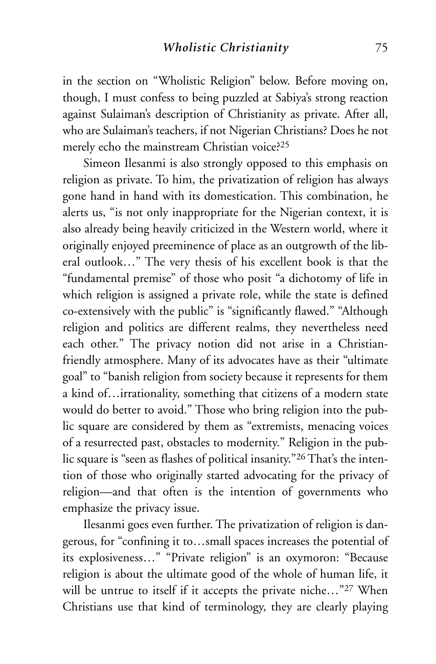in the section on "Wholistic Religion" below. Before moving on, though, I must confess to being puzzled at Sabiya's strong reaction against Sulaiman's description of Christianity as private. After all, who are Sulaiman's teachers, if not Nigerian Christians? Does he not merely echo the mainstream Christian voice?<sup>25</sup>

Simeon Ilesanmi is also strongly opposed to this emphasis on religion as private. To him, the privatization of religion has always gone hand in hand with its domestication. This combination, he alerts us, "is not only inappropriate for the Nigerian context, it is also already being heavily criticized in the Western world, where it originally enjoyed preeminence of place as an outgrowth of the liberal outlook…" The very thesis of his excellent book is that the "fundamental premise" of those who posit "a dichotomy of life in which religion is assigned a private role, while the state is defined co-extensively with the public" is "significantly flawed." "Although religion and politics are different realms, they nevertheless need each other." The privacy notion did not arise in a Christianfriendly atmosphere. Many of its advocates have as their "ultimate goal" to "banish religion from society because it represents for them a kind of…irrationality, something that citizens of a modern state would do better to avoid." Those who bring religion into the public square are considered by them as "extremists, menacing voices of a resurrected past, obstacles to modernity." Religion in the public square is "seen as flashes of political insanity."26 That's the intention of those who originally started advocating for the privacy of religion—and that often is the intention of governments who emphasize the privacy issue.

Ilesanmi goes even further. The privatization of religion is dangerous, for "confining it to…small spaces increases the potential of its explosiveness…" "Private religion" is an oxymoron: "Because religion is about the ultimate good of the whole of human life, it will be untrue to itself if it accepts the private niche..."<sup>27</sup> When Christians use that kind of terminology, they are clearly playing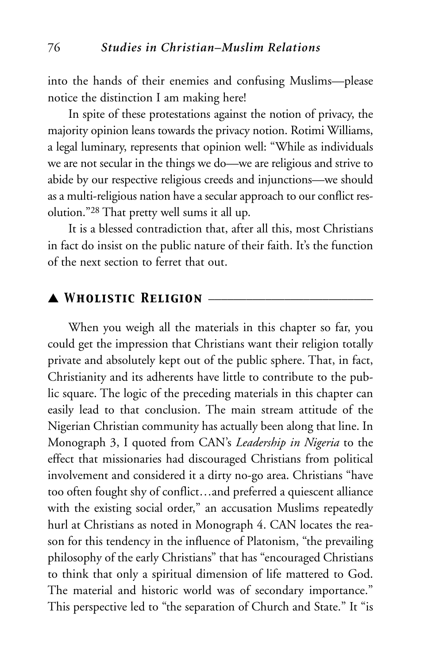into the hands of their enemies and confusing Muslims—please notice the distinction I am making here!

In spite of these protestations against the notion of privacy, the majority opinion leans towards the privacy notion. Rotimi Williams, a legal luminary, represents that opinion well: "While as individuals we are not secular in the things we do—we are religious and strive to abide by our respective religious creeds and injunctions—we should as a multi-religious nation have a secular approach to our conflict resolution."28 That pretty well sums it all up.

It is a blessed contradiction that, after all this, most Christians in fact do insist on the public nature of their faith. It's the function of the next section to ferret that out.

## ▲ *Wholistic Religion* \_\_\_\_\_\_\_\_\_\_\_\_\_\_\_\_\_\_\_\_\_\_\_\_\_\_

When you weigh all the materials in this chapter so far, you could get the impression that Christians want their religion totally private and absolutely kept out of the public sphere. That, in fact, Christianity and its adherents have little to contribute to the public square. The logic of the preceding materials in this chapter can easily lead to that conclusion. The main stream attitude of the Nigerian Christian community has actually been along that line. In Monograph 3, I quoted from CAN's *Leadership in Nigeria* to the effect that missionaries had discouraged Christians from political involvement and considered it a dirty no-go area. Christians "have too often fought shy of conflict…and preferred a quiescent alliance with the existing social order," an accusation Muslims repeatedly hurl at Christians as noted in Monograph 4. CAN locates the reason for this tendency in the influence of Platonism, "the prevailing philosophy of the early Christians" that has "encouraged Christians to think that only a spiritual dimension of life mattered to God. The material and historic world was of secondary importance." This perspective led to "the separation of Church and State." It "is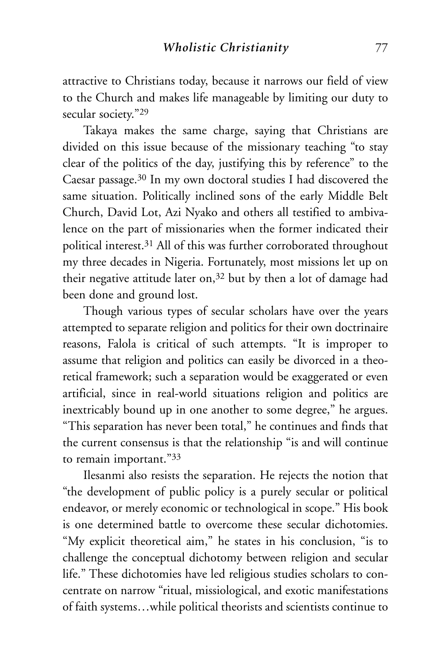attractive to Christians today, because it narrows our field of view to the Church and makes life manageable by limiting our duty to secular society."<sup>29</sup>

Takaya makes the same charge, saying that Christians are divided on this issue because of the missionary teaching "to stay clear of the politics of the day, justifying this by reference" to the Caesar passage.30 In my own doctoral studies I had discovered the same situation. Politically inclined sons of the early Middle Belt Church, David Lot, Azi Nyako and others all testified to ambivalence on the part of missionaries when the former indicated their political interest.31 All of this was further corroborated throughout my three decades in Nigeria. Fortunately, most missions let up on their negative attitude later on,32 but by then a lot of damage had been done and ground lost.

Though various types of secular scholars have over the years attempted to separate religion and politics for their own doctrinaire reasons, Falola is critical of such attempts. "It is improper to assume that religion and politics can easily be divorced in a theoretical framework; such a separation would be exaggerated or even artificial, since in real-world situations religion and politics are inextricably bound up in one another to some degree," he argues. "This separation has never been total," he continues and finds that the current consensus is that the relationship "is and will continue to remain important."33

Ilesanmi also resists the separation. He rejects the notion that "the development of public policy is a purely secular or political endeavor, or merely economic or technological in scope." His book is one determined battle to overcome these secular dichotomies. "My explicit theoretical aim," he states in his conclusion, "is to challenge the conceptual dichotomy between religion and secular life." These dichotomies have led religious studies scholars to concentrate on narrow "ritual, missiological, and exotic manifestations of faith systems…while political theorists and scientists continue to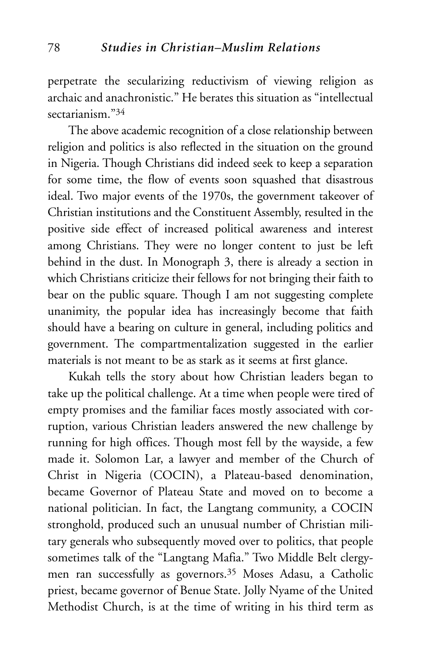perpetrate the secularizing reductivism of viewing religion as archaic and anachronistic." He berates this situation as "intellectual sectarianism<sup>34</sup>

The above academic recognition of a close relationship between religion and politics is also reflected in the situation on the ground in Nigeria. Though Christians did indeed seek to keep a separation for some time, the flow of events soon squashed that disastrous ideal. Two major events of the 1970s, the government takeover of Christian institutions and the Constituent Assembly, resulted in the positive side effect of increased political awareness and interest among Christians. They were no longer content to just be left behind in the dust. In Monograph 3, there is already a section in which Christians criticize their fellows for not bringing their faith to bear on the public square. Though I am not suggesting complete unanimity, the popular idea has increasingly become that faith should have a bearing on culture in general, including politics and government. The compartmentalization suggested in the earlier materials is not meant to be as stark as it seems at first glance.

Kukah tells the story about how Christian leaders began to take up the political challenge. At a time when people were tired of empty promises and the familiar faces mostly associated with corruption, various Christian leaders answered the new challenge by running for high offices. Though most fell by the wayside, a few made it. Solomon Lar, a lawyer and member of the Church of Christ in Nigeria (COCIN), a Plateau-based denomination, became Governor of Plateau State and moved on to become a national politician. In fact, the Langtang community, a COCIN stronghold, produced such an unusual number of Christian military generals who subsequently moved over to politics, that people sometimes talk of the "Langtang Mafia." Two Middle Belt clergymen ran successfully as governors.35 Moses Adasu, a Catholic priest, became governor of Benue State. Jolly Nyame of the United Methodist Church, is at the time of writing in his third term as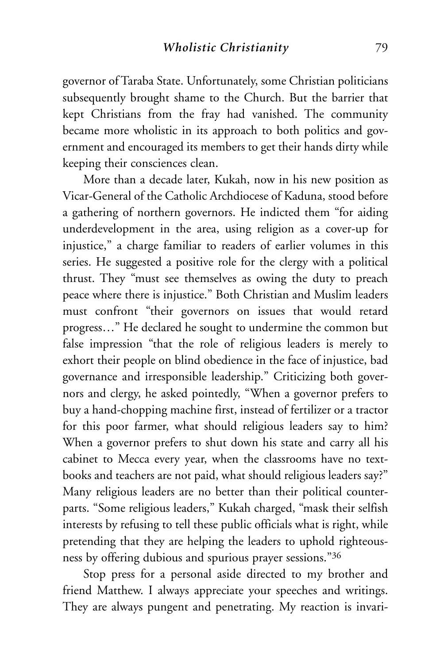governor of Taraba State. Unfortunately, some Christian politicians subsequently brought shame to the Church. But the barrier that kept Christians from the fray had vanished. The community became more wholistic in its approach to both politics and government and encouraged its members to get their hands dirty while keeping their consciences clean.

More than a decade later, Kukah, now in his new position as Vicar-General of the Catholic Archdiocese of Kaduna, stood before a gathering of northern governors. He indicted them "for aiding underdevelopment in the area, using religion as a cover-up for injustice," a charge familiar to readers of earlier volumes in this series. He suggested a positive role for the clergy with a political thrust. They "must see themselves as owing the duty to preach peace where there is injustice." Both Christian and Muslim leaders must confront "their governors on issues that would retard progress…" He declared he sought to undermine the common but false impression "that the role of religious leaders is merely to exhort their people on blind obedience in the face of injustice, bad governance and irresponsible leadership." Criticizing both governors and clergy, he asked pointedly, "When a governor prefers to buy a hand-chopping machine first, instead of fertilizer or a tractor for this poor farmer, what should religious leaders say to him? When a governor prefers to shut down his state and carry all his cabinet to Mecca every year, when the classrooms have no textbooks and teachers are not paid, what should religious leaders say?" Many religious leaders are no better than their political counterparts. "Some religious leaders," Kukah charged, "mask their selfish interests by refusing to tell these public officials what is right, while pretending that they are helping the leaders to uphold righteousness by offering dubious and spurious prayer sessions."36

Stop press for a personal aside directed to my brother and friend Matthew. I always appreciate your speeches and writings. They are always pungent and penetrating. My reaction is invari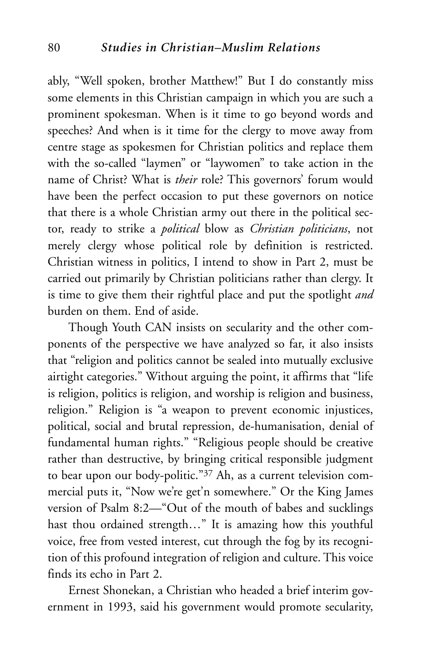ably, "Well spoken, brother Matthew!" But I do constantly miss some elements in this Christian campaign in which you are such a prominent spokesman. When is it time to go beyond words and speeches? And when is it time for the clergy to move away from centre stage as spokesmen for Christian politics and replace them with the so-called "laymen" or "laywomen" to take action in the name of Christ? What is *their* role? This governors' forum would have been the perfect occasion to put these governors on notice that there is a whole Christian army out there in the political sector, ready to strike a *political* blow as *Christian politicians*, not merely clergy whose political role by definition is restricted. Christian witness in politics, I intend to show in Part 2, must be carried out primarily by Christian politicians rather than clergy. It is time to give them their rightful place and put the spotlight *and* burden on them. End of aside.

Though Youth CAN insists on secularity and the other components of the perspective we have analyzed so far, it also insists that "religion and politics cannot be sealed into mutually exclusive airtight categories." Without arguing the point, it affirms that "life is religion, politics is religion, and worship is religion and business, religion." Religion is "a weapon to prevent economic injustices, political, social and brutal repression, de-humanisation, denial of fundamental human rights." "Religious people should be creative rather than destructive, by bringing critical responsible judgment to bear upon our body-politic."37 Ah, as a current television commercial puts it, "Now we're get'n somewhere." Or the King James version of Psalm 8:2—"Out of the mouth of babes and sucklings hast thou ordained strength…" It is amazing how this youthful voice, free from vested interest, cut through the fog by its recognition of this profound integration of religion and culture. This voice finds its echo in Part 2.

Ernest Shonekan, a Christian who headed a brief interim government in 1993, said his government would promote secularity,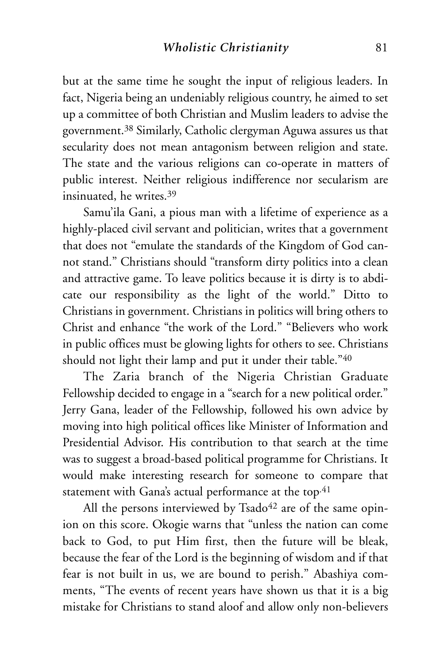but at the same time he sought the input of religious leaders. In fact, Nigeria being an undeniably religious country, he aimed to set up a committee of both Christian and Muslim leaders to advise the government.38 Similarly, Catholic clergyman Aguwa assures us that secularity does not mean antagonism between religion and state. The state and the various religions can co-operate in matters of public interest. Neither religious indifference nor secularism are insinuated, he writes.39

Samu'ila Gani, a pious man with a lifetime of experience as a highly-placed civil servant and politician, writes that a government that does not "emulate the standards of the Kingdom of God cannot stand." Christians should "transform dirty politics into a clean and attractive game. To leave politics because it is dirty is to abdicate our responsibility as the light of the world." Ditto to Christians in government. Christians in politics will bring others to Christ and enhance "the work of the Lord." "Believers who work in public offices must be glowing lights for others to see. Christians should not light their lamp and put it under their table."40

The Zaria branch of the Nigeria Christian Graduate Fellowship decided to engage in a "search for a new political order." Jerry Gana, leader of the Fellowship, followed his own advice by moving into high political offices like Minister of Information and Presidential Advisor. His contribution to that search at the time was to suggest a broad-based political programme for Christians. It would make interesting research for someone to compare that statement with Gana's actual performance at the top.<sup>41</sup>

All the persons interviewed by Tsado $42$  are of the same opinion on this score. Okogie warns that "unless the nation can come back to God, to put Him first, then the future will be bleak, because the fear of the Lord is the beginning of wisdom and if that fear is not built in us, we are bound to perish." Abashiya comments, "The events of recent years have shown us that it is a big mistake for Christians to stand aloof and allow only non-believers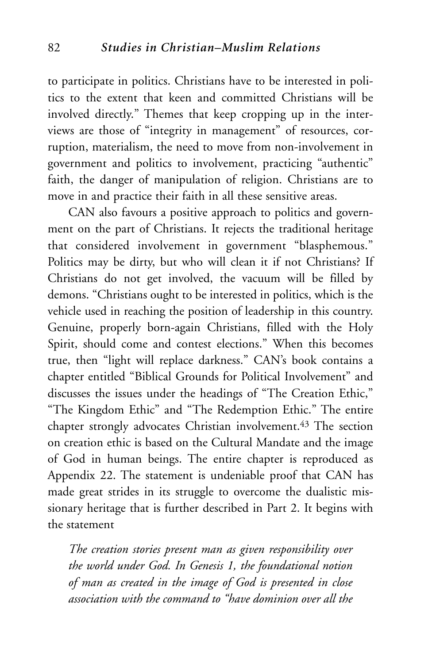to participate in politics. Christians have to be interested in politics to the extent that keen and committed Christians will be involved directly." Themes that keep cropping up in the interviews are those of "integrity in management" of resources, corruption, materialism, the need to move from non-involvement in government and politics to involvement, practicing "authentic" faith, the danger of manipulation of religion. Christians are to move in and practice their faith in all these sensitive areas.

CAN also favours a positive approach to politics and government on the part of Christians. It rejects the traditional heritage that considered involvement in government "blasphemous." Politics may be dirty, but who will clean it if not Christians? If Christians do not get involved, the vacuum will be filled by demons. "Christians ought to be interested in politics, which is the vehicle used in reaching the position of leadership in this country. Genuine, properly born-again Christians, filled with the Holy Spirit, should come and contest elections." When this becomes true, then "light will replace darkness." CAN's book contains a chapter entitled "Biblical Grounds for Political Involvement" and discusses the issues under the headings of "The Creation Ethic," "The Kingdom Ethic" and "The Redemption Ethic." The entire chapter strongly advocates Christian involvement.43 The section on creation ethic is based on the Cultural Mandate and the image of God in human beings. The entire chapter is reproduced as Appendix 22. The statement is undeniable proof that CAN has made great strides in its struggle to overcome the dualistic missionary heritage that is further described in Part 2. It begins with the statement

*The creation stories present man as given responsibility over the world under God. In Genesis 1, the foundational notion of man as created in the image of God is presented in close association with the command to "have dominion over all the*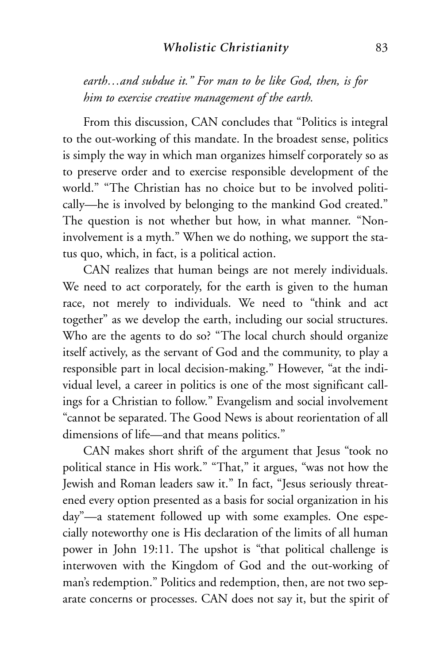*earth…and subdue it." For man to be like God, then, is for him to exercise creative management of the earth.*

From this discussion, CAN concludes that "Politics is integral to the out-working of this mandate. In the broadest sense, politics is simply the way in which man organizes himself corporately so as to preserve order and to exercise responsible development of the world." "The Christian has no choice but to be involved politically—he is involved by belonging to the mankind God created." The question is not whether but how, in what manner. "Noninvolvement is a myth." When we do nothing, we support the status quo, which, in fact, is a political action.

CAN realizes that human beings are not merely individuals. We need to act corporately, for the earth is given to the human race, not merely to individuals. We need to "think and act together" as we develop the earth, including our social structures. Who are the agents to do so? "The local church should organize itself actively, as the servant of God and the community, to play a responsible part in local decision-making." However, "at the individual level, a career in politics is one of the most significant callings for a Christian to follow." Evangelism and social involvement "cannot be separated. The Good News is about reorientation of all dimensions of life—and that means politics."

CAN makes short shrift of the argument that Jesus "took no political stance in His work." "That," it argues, "was not how the Jewish and Roman leaders saw it." In fact, "Jesus seriously threatened every option presented as a basis for social organization in his day"—a statement followed up with some examples. One especially noteworthy one is His declaration of the limits of all human power in John 19:11. The upshot is "that political challenge is interwoven with the Kingdom of God and the out-working of man's redemption." Politics and redemption, then, are not two separate concerns or processes. CAN does not say it, but the spirit of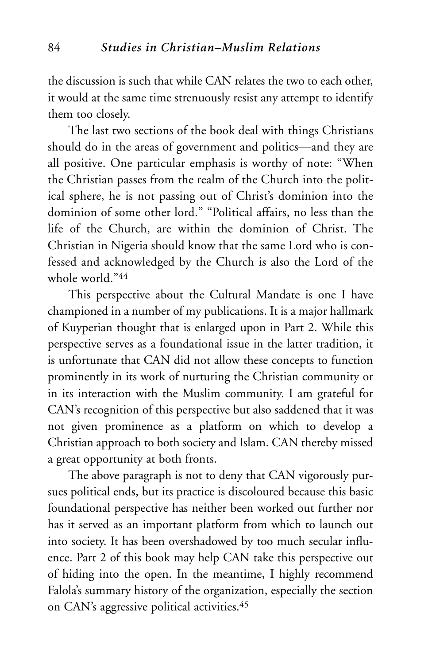the discussion is such that while CAN relates the two to each other, it would at the same time strenuously resist any attempt to identify them too closely.

The last two sections of the book deal with things Christians should do in the areas of government and politics—and they are all positive. One particular emphasis is worthy of note: "When the Christian passes from the realm of the Church into the political sphere, he is not passing out of Christ's dominion into the dominion of some other lord." "Political affairs, no less than the life of the Church, are within the dominion of Christ. The Christian in Nigeria should know that the same Lord who is confessed and acknowledged by the Church is also the Lord of the whole world<sup>"44</sup>

This perspective about the Cultural Mandate is one I have championed in a number of my publications. It is a major hallmark of Kuyperian thought that is enlarged upon in Part 2. While this perspective serves as a foundational issue in the latter tradition, it is unfortunate that CAN did not allow these concepts to function prominently in its work of nurturing the Christian community or in its interaction with the Muslim community. I am grateful for CAN's recognition of this perspective but also saddened that it was not given prominence as a platform on which to develop a Christian approach to both society and Islam. CAN thereby missed a great opportunity at both fronts.

The above paragraph is not to deny that CAN vigorously pursues political ends, but its practice is discoloured because this basic foundational perspective has neither been worked out further nor has it served as an important platform from which to launch out into society. It has been overshadowed by too much secular influence. Part 2 of this book may help CAN take this perspective out of hiding into the open. In the meantime, I highly recommend Falola's summary history of the organization, especially the section on CAN's aggressive political activities.45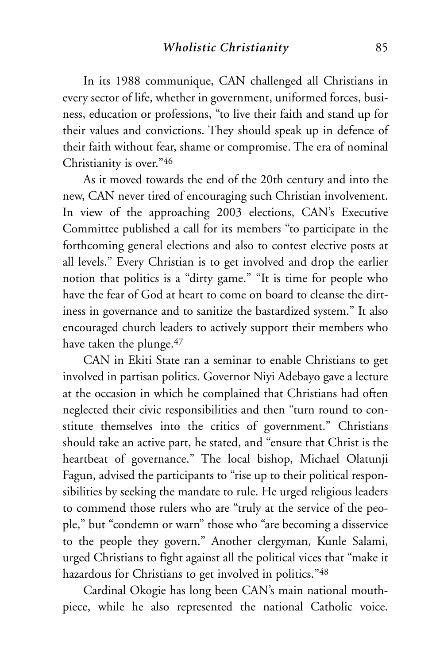In its 1988 communique, CAN challenged all Christians in every sector of life, whether in government, uniformed forces, business, education or professions, "to live their faith and stand up for their values and convictions. They should speak up in defence of their faith without fear, shame or compromise. The era of nominal Christianity is over."46

As it moved towards the end of the 20th century and into the new, CAN never tired of encouraging such Christian involvement. In view of the approaching 2003 elections, CAN's Executive Committee published a call for its members "to participate in the forthcoming general elections and also to contest elective posts at all levels." Every Christian is to get involved and drop the earlier notion that politics is a "dirty game." "It is time for people who have the fear of God at heart to come on board to cleanse the dirtiness in governance and to sanitize the bastardized system." It also encouraged church leaders to actively support their members who have taken the plunge.<sup>47</sup>

CAN in Ekiti State ran a seminar to enable Christians to get involved in partisan politics. Governor Niyi Adebayo gave a lecture at the occasion in which he complained that Christians had often neglected their civic responsibilities and then "turn round to constitute themselves into the critics of government." Christians should take an active part, he stated, and "ensure that Christ is the heartbeat of governance." The local bishop, Michael Olatunji Fagun, advised the participants to "rise up to their political responsibilities by seeking the mandate to rule. He urged religious leaders to commend those rulers who are "truly at the service of the people," but "condemn or warn" those who "are becoming a disservice to the people they govern." Another clergyman, Kunle Salami, urged Christians to fight against all the political vices that "make it hazardous for Christians to get involved in politics."48

Cardinal Okogie has long been CAN's main national mouthpiece, while he also represented the national Catholic voice.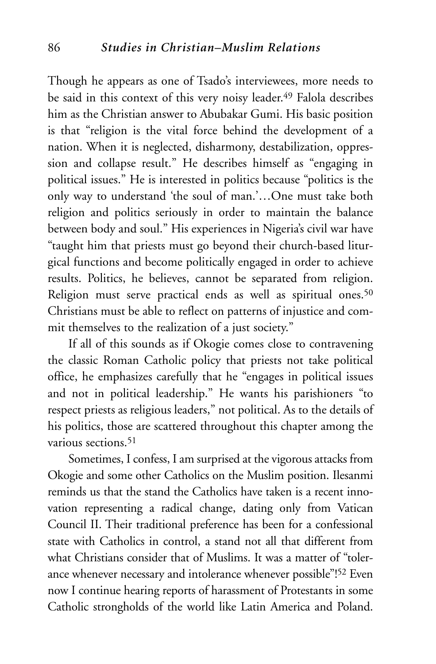Though he appears as one of Tsado's interviewees, more needs to be said in this context of this very noisy leader.<sup>49</sup> Falola describes him as the Christian answer to Abubakar Gumi. His basic position is that "religion is the vital force behind the development of a nation. When it is neglected, disharmony, destabilization, oppression and collapse result." He describes himself as "engaging in political issues." He is interested in politics because "politics is the only way to understand 'the soul of man.'…One must take both religion and politics seriously in order to maintain the balance between body and soul." His experiences in Nigeria's civil war have "taught him that priests must go beyond their church-based liturgical functions and become politically engaged in order to achieve results. Politics, he believes, cannot be separated from religion. Religion must serve practical ends as well as spiritual ones.<sup>50</sup> Christians must be able to reflect on patterns of injustice and commit themselves to the realization of a just society."

If all of this sounds as if Okogie comes close to contravening the classic Roman Catholic policy that priests not take political office, he emphasizes carefully that he "engages in political issues and not in political leadership." He wants his parishioners "to respect priests as religious leaders," not political. As to the details of his politics, those are scattered throughout this chapter among the various sections<sup>51</sup>

Sometimes, I confess, I am surprised at the vigorous attacks from Okogie and some other Catholics on the Muslim position. Ilesanmi reminds us that the stand the Catholics have taken is a recent innovation representing a radical change, dating only from Vatican Council II. Their traditional preference has been for a confessional state with Catholics in control, a stand not all that different from what Christians consider that of Muslims. It was a matter of "tolerance whenever necessary and intolerance whenever possible"! <sup>52</sup> Even now I continue hearing reports of harassment of Protestants in some Catholic strongholds of the world like Latin America and Poland.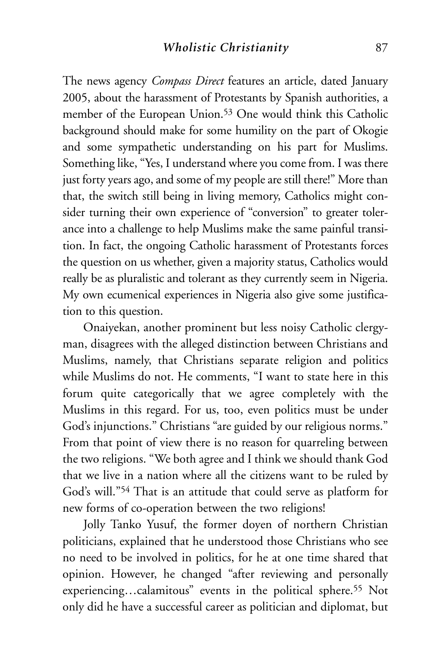The news agency *Compass Direct* features an article, dated January 2005, about the harassment of Protestants by Spanish authorities, a member of the European Union.53 One would think this Catholic background should make for some humility on the part of Okogie and some sympathetic understanding on his part for Muslims. Something like, "Yes, I understand where you come from. I was there just forty years ago, and some of my people are still there!" More than that, the switch still being in living memory, Catholics might consider turning their own experience of "conversion" to greater tolerance into a challenge to help Muslims make the same painful transition. In fact, the ongoing Catholic harassment of Protestants forces the question on us whether, given a majority status, Catholics would really be as pluralistic and tolerant as they currently seem in Nigeria. My own ecumenical experiences in Nigeria also give some justification to this question.

Onaiyekan, another prominent but less noisy Catholic clergyman, disagrees with the alleged distinction between Christians and Muslims, namely, that Christians separate religion and politics while Muslims do not. He comments, "I want to state here in this forum quite categorically that we agree completely with the Muslims in this regard. For us, too, even politics must be under God's injunctions." Christians "are guided by our religious norms." From that point of view there is no reason for quarreling between the two religions. "We both agree and I think we should thank God that we live in a nation where all the citizens want to be ruled by God's will."54 That is an attitude that could serve as platform for new forms of co-operation between the two religions!

Jolly Tanko Yusuf, the former doyen of northern Christian politicians, explained that he understood those Christians who see no need to be involved in politics, for he at one time shared that opinion. However, he changed "after reviewing and personally experiencing…calamitous" events in the political sphere.55 Not only did he have a successful career as politician and diplomat, but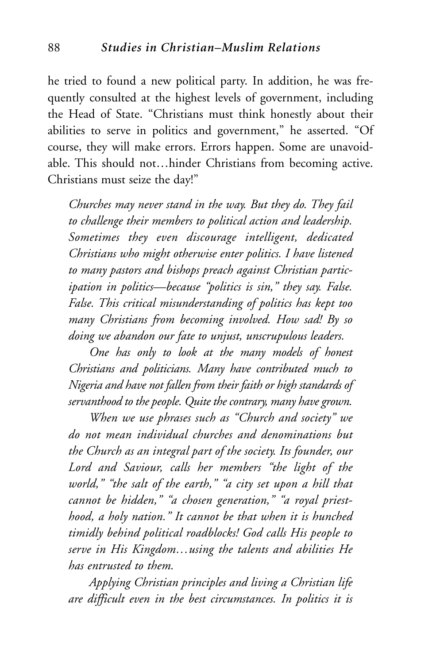he tried to found a new political party. In addition, he was frequently consulted at the highest levels of government, including the Head of State. "Christians must think honestly about their abilities to serve in politics and government," he asserted. "Of course, they will make errors. Errors happen. Some are unavoidable. This should not…hinder Christians from becoming active. Christians must seize the day!"

*Churches may never stand in the way. But they do. They fail to challenge their members to political action and leadership. Sometimes they even discourage intelligent, dedicated Christians who might otherwise enter politics. I have listened to many pastors and bishops preach against Christian participation in politics—because "politics is sin," they say. False. False. This critical misunderstanding of politics has kept too many Christians from becoming involved. How sad! By so doing we abandon our fate to unjust, unscrupulous leaders.*

*One has only to look at the many models of honest Christians and politicians. Many have contributed much to Nigeria and have not fallen from their faith or high standards of servanthood to the people. Quite the contrary, many have grown.*

*When we use phrases such as "Church and society" we do not mean individual churches and denominations but the Church as an integral part of the society. Its founder, our Lord and Saviour, calls her members "the light of the world," "the salt of the earth," "a city set upon a hill that cannot be hidden," "a chosen generation," "a royal priesthood, a holy nation." It cannot be that when it is hunched timidly behind political roadblocks! God calls His people to serve in His Kingdom…using the talents and abilities He has entrusted to them.*

*Applying Christian principles and living a Christian life are difficult even in the best circumstances. In politics it is*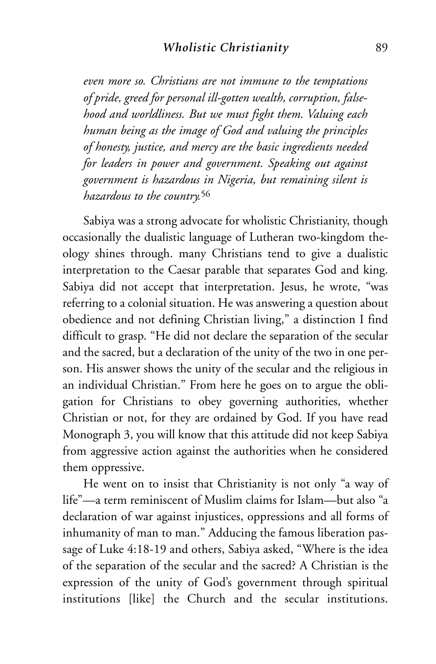*even more so. Christians are not immune to the temptations of pride, greed for personal ill-gotten wealth, corruption, falsehood and worldliness. But we must fight them. Valuing each human being as the image of God and valuing the principles of honesty, justice, and mercy are the basic ingredients needed for leaders in power and government. Speaking out against government is hazardous in Nigeria, but remaining silent is hazardous to the country.*<sup>56</sup>

Sabiya was a strong advocate for wholistic Christianity, though occasionally the dualistic language of Lutheran two-kingdom theology shines through. many Christians tend to give a dualistic interpretation to the Caesar parable that separates God and king. Sabiya did not accept that interpretation. Jesus, he wrote, "was referring to a colonial situation. He was answering a question about obedience and not defining Christian living," a distinction I find difficult to grasp. "He did not declare the separation of the secular and the sacred, but a declaration of the unity of the two in one person. His answer shows the unity of the secular and the religious in an individual Christian." From here he goes on to argue the obligation for Christians to obey governing authorities, whether Christian or not, for they are ordained by God. If you have read Monograph 3, you will know that this attitude did not keep Sabiya from aggressive action against the authorities when he considered them oppressive.

He went on to insist that Christianity is not only "a way of life"—a term reminiscent of Muslim claims for Islam—but also "a declaration of war against injustices, oppressions and all forms of inhumanity of man to man." Adducing the famous liberation passage of Luke 4:18-19 and others, Sabiya asked, "Where is the idea of the separation of the secular and the sacred? A Christian is the expression of the unity of God's government through spiritual institutions [like] the Church and the secular institutions.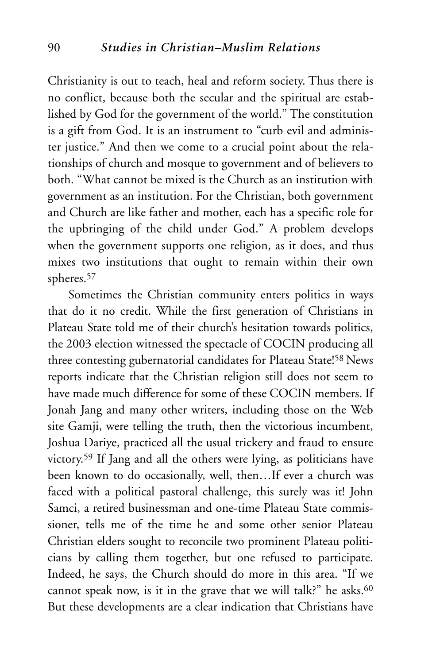Christianity is out to teach, heal and reform society. Thus there is no conflict, because both the secular and the spiritual are established by God for the government of the world." The constitution is a gift from God. It is an instrument to "curb evil and administer justice." And then we come to a crucial point about the relationships of church and mosque to government and of believers to both. "What cannot be mixed is the Church as an institution with government as an institution. For the Christian, both government and Church are like father and mother, each has a specific role for the upbringing of the child under God." A problem develops when the government supports one religion, as it does, and thus mixes two institutions that ought to remain within their own spheres.57

Sometimes the Christian community enters politics in ways that do it no credit. While the first generation of Christians in Plateau State told me of their church's hesitation towards politics, the 2003 election witnessed the spectacle of COCIN producing all three contesting gubernatorial candidates for Plateau State!<sup>58</sup> News reports indicate that the Christian religion still does not seem to have made much difference for some of these COCIN members. If Jonah Jang and many other writers, including those on the Web site Gamji, were telling the truth, then the victorious incumbent, Joshua Dariye, practiced all the usual trickery and fraud to ensure victory.59 If Jang and all the others were lying, as politicians have been known to do occasionally, well, then…If ever a church was faced with a political pastoral challenge, this surely was it! John Samci, a retired businessman and one-time Plateau State commissioner, tells me of the time he and some other senior Plateau Christian elders sought to reconcile two prominent Plateau politicians by calling them together, but one refused to participate. Indeed, he says, the Church should do more in this area. "If we cannot speak now, is it in the grave that we will talk?" he asks. $60$ But these developments are a clear indication that Christians have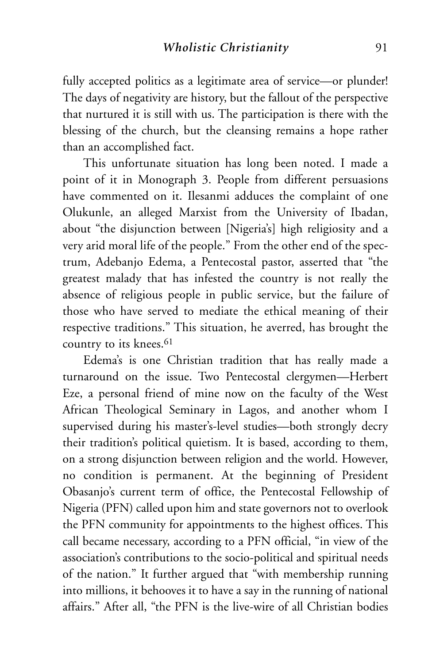fully accepted politics as a legitimate area of service—or plunder! The days of negativity are history, but the fallout of the perspective that nurtured it is still with us. The participation is there with the blessing of the church, but the cleansing remains a hope rather than an accomplished fact.

This unfortunate situation has long been noted. I made a point of it in Monograph 3. People from different persuasions have commented on it. Ilesanmi adduces the complaint of one Olukunle, an alleged Marxist from the University of Ibadan, about "the disjunction between [Nigeria's] high religiosity and a very arid moral life of the people." From the other end of the spectrum, Adebanjo Edema, a Pentecostal pastor, asserted that "the greatest malady that has infested the country is not really the absence of religious people in public service, but the failure of those who have served to mediate the ethical meaning of their respective traditions." This situation, he averred, has brought the country to its knees.<sup>61</sup>

Edema's is one Christian tradition that has really made a turnaround on the issue. Two Pentecostal clergymen—Herbert Eze, a personal friend of mine now on the faculty of the West African Theological Seminary in Lagos, and another whom I supervised during his master's-level studies—both strongly decry their tradition's political quietism. It is based, according to them, on a strong disjunction between religion and the world. However, no condition is permanent. At the beginning of President Obasanjo's current term of office, the Pentecostal Fellowship of Nigeria (PFN) called upon him and state governors not to overlook the PFN community for appointments to the highest offices. This call became necessary, according to a PFN official, "in view of the association's contributions to the socio-political and spiritual needs of the nation." It further argued that "with membership running into millions, it behooves it to have a say in the running of national affairs." After all, "the PFN is the live-wire of all Christian bodies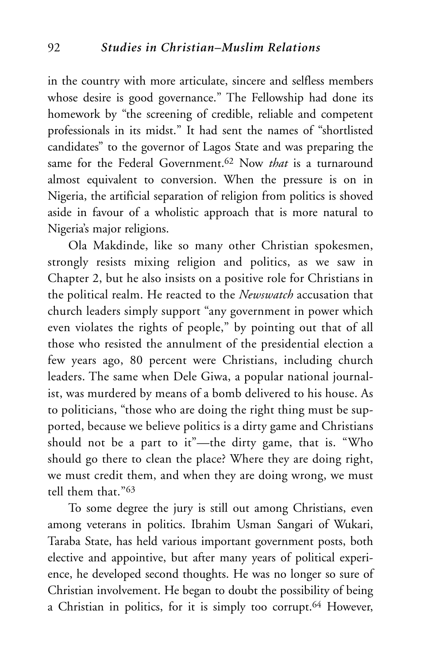in the country with more articulate, sincere and selfless members whose desire is good governance." The Fellowship had done its homework by "the screening of credible, reliable and competent professionals in its midst." It had sent the names of "shortlisted candidates" to the governor of Lagos State and was preparing the same for the Federal Government.62 Now *that* is a turnaround almost equivalent to conversion. When the pressure is on in Nigeria, the artificial separation of religion from politics is shoved aside in favour of a wholistic approach that is more natural to Nigeria's major religions.

Ola Makdinde, like so many other Christian spokesmen, strongly resists mixing religion and politics, as we saw in Chapter 2, but he also insists on a positive role for Christians in the political realm. He reacted to the *Newswatch* accusation that church leaders simply support "any government in power which even violates the rights of people," by pointing out that of all those who resisted the annulment of the presidential election a few years ago, 80 percent were Christians, including church leaders. The same when Dele Giwa, a popular national journalist, was murdered by means of a bomb delivered to his house. As to politicians, "those who are doing the right thing must be supported, because we believe politics is a dirty game and Christians should not be a part to it"—the dirty game, that is. "Who should go there to clean the place? Where they are doing right, we must credit them, and when they are doing wrong, we must tell them that "63

To some degree the jury is still out among Christians, even among veterans in politics. Ibrahim Usman Sangari of Wukari, Taraba State, has held various important government posts, both elective and appointive, but after many years of political experience, he developed second thoughts. He was no longer so sure of Christian involvement. He began to doubt the possibility of being a Christian in politics, for it is simply too corrupt.64 However,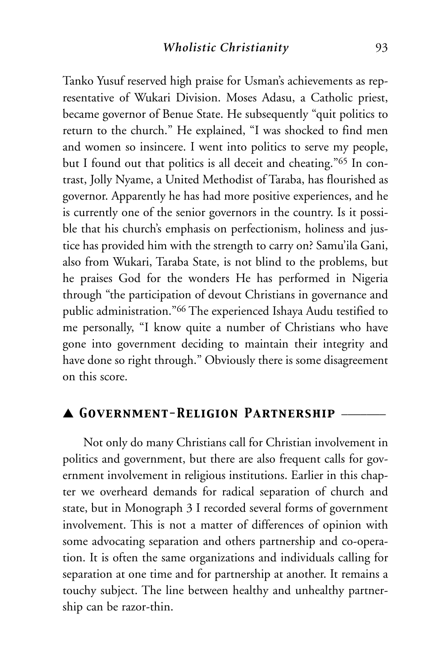Tanko Yusuf reserved high praise for Usman's achievements as representative of Wukari Division. Moses Adasu, a Catholic priest, became governor of Benue State. He subsequently "quit politics to return to the church." He explained, "I was shocked to find men and women so insincere. I went into politics to serve my people, but I found out that politics is all deceit and cheating."65 In contrast, Jolly Nyame, a United Methodist of Taraba, has flourished as governor. Apparently he has had more positive experiences, and he is currently one of the senior governors in the country. Is it possible that his church's emphasis on perfectionism, holiness and justice has provided him with the strength to carry on? Samu'ila Gani, also from Wukari, Taraba State, is not blind to the problems, but he praises God for the wonders He has performed in Nigeria through "the participation of devout Christians in governance and public administration."66 The experienced Ishaya Audu testified to me personally, "I know quite a number of Christians who have gone into government deciding to maintain their integrity and have done so right through." Obviously there is some disagreement on this score.

### ▲ *Government-Religion Partnership* \_\_\_\_\_\_\_

Not only do many Christians call for Christian involvement in politics and government, but there are also frequent calls for government involvement in religious institutions. Earlier in this chapter we overheard demands for radical separation of church and state, but in Monograph 3 I recorded several forms of government involvement. This is not a matter of differences of opinion with some advocating separation and others partnership and co-operation. It is often the same organizations and individuals calling for separation at one time and for partnership at another. It remains a touchy subject. The line between healthy and unhealthy partnership can be razor-thin.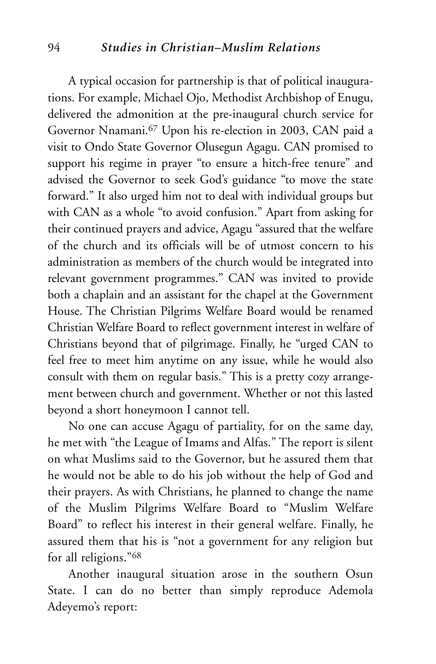#### 94 *Studies in Christian–Muslim Relations*

A typical occasion for partnership is that of political inaugurations. For example, Michael Ojo, Methodist Archbishop of Enugu, delivered the admonition at the pre-inaugural church service for Governor Nnamani.67 Upon his re-election in 2003, CAN paid a visit to Ondo State Governor Olusegun Agagu. CAN promised to support his regime in prayer "to ensure a hitch-free tenure" and advised the Governor to seek God's guidance "to move the state forward." It also urged him not to deal with individual groups but with CAN as a whole "to avoid confusion." Apart from asking for their continued prayers and advice, Agagu "assured that the welfare of the church and its officials will be of utmost concern to his administration as members of the church would be integrated into relevant government programmes." CAN was invited to provide both a chaplain and an assistant for the chapel at the Government House. The Christian Pilgrims Welfare Board would be renamed Christian Welfare Board to reflect government interest in welfare of Christians beyond that of pilgrimage. Finally, he "urged CAN to feel free to meet him anytime on any issue, while he would also consult with them on regular basis." This is a pretty cozy arrangement between church and government. Whether or not this lasted beyond a short honeymoon I cannot tell.

No one can accuse Agagu of partiality, for on the same day, he met with "the League of Imams and Alfas." The report is silent on what Muslims said to the Governor, but he assured them that he would not be able to do his job without the help of God and their prayers. As with Christians, he planned to change the name of the Muslim Pilgrims Welfare Board to "Muslim Welfare Board" to reflect his interest in their general welfare. Finally, he assured them that his is "not a government for any religion but for all religions."68

Another inaugural situation arose in the southern Osun State. I can do no better than simply reproduce Ademola Adeyemo's report: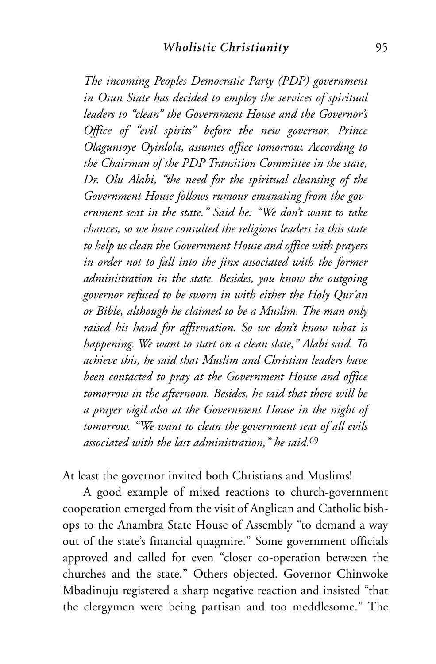*The incoming Peoples Democratic Party (PDP) government in Osun State has decided to employ the services of spiritual leaders to "clean" the Government House and the Governor's Office of "evil spirits" before the new governor, Prince Olagunsoye Oyinlola, assumes office tomorrow. According to the Chairman of the PDP Transition Committee in the state, Dr. Olu Alabi, "the need for the spiritual cleansing of the Government House follows rumour emanating from the government seat in the state." Said he: "We don't want to take chances, so we have consulted the religious leaders in this state to help us clean the Government House and office with prayers in order not to fall into the jinx associated with the former administration in the state. Besides, you know the outgoing governor refused to be sworn in with either the Holy Qur'an or Bible, although he claimed to be a Muslim. The man only raised his hand for affirmation. So we don't know what is happening. We want to start on a clean slate," Alabi said. To achieve this, he said that Muslim and Christian leaders have been contacted to pray at the Government House and office tomorrow in the afternoon. Besides, he said that there will be a prayer vigil also at the Government House in the night of tomorrow. "We want to clean the government seat of all evils associated with the last administration," he said.*<sup>69</sup>

At least the governor invited both Christians and Muslims!

A good example of mixed reactions to church-government cooperation emerged from the visit of Anglican and Catholic bishops to the Anambra State House of Assembly "to demand a way out of the state's financial quagmire." Some government officials approved and called for even "closer co-operation between the churches and the state." Others objected. Governor Chinwoke Mbadinuju registered a sharp negative reaction and insisted "that the clergymen were being partisan and too meddlesome." The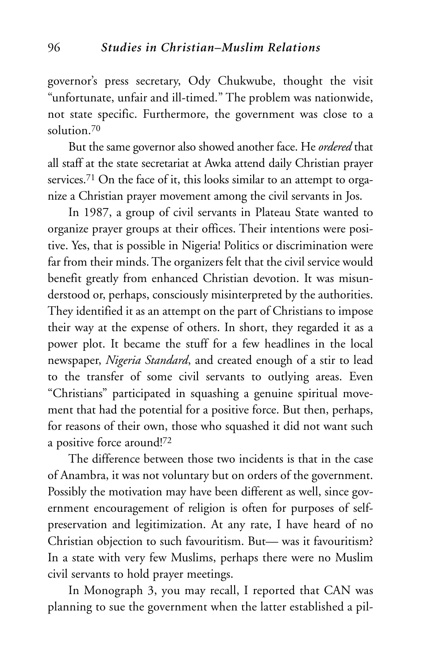governor's press secretary, Ody Chukwube, thought the visit "unfortunate, unfair and ill-timed." The problem was nationwide, not state specific. Furthermore, the government was close to a solution<sup>70</sup>

But the same governor also showed another face. He *ordered* that all staff at the state secretariat at Awka attend daily Christian prayer services.<sup>71</sup> On the face of it, this looks similar to an attempt to organize a Christian prayer movement among the civil servants in Jos.

In 1987, a group of civil servants in Plateau State wanted to organize prayer groups at their offices. Their intentions were positive. Yes, that is possible in Nigeria! Politics or discrimination were far from their minds. The organizers felt that the civil service would benefit greatly from enhanced Christian devotion. It was misunderstood or, perhaps, consciously misinterpreted by the authorities. They identified it as an attempt on the part of Christians to impose their way at the expense of others. In short, they regarded it as a power plot. It became the stuff for a few headlines in the local newspaper, *Nigeria Standard*, and created enough of a stir to lead to the transfer of some civil servants to outlying areas. Even "Christians" participated in squashing a genuine spiritual movement that had the potential for a positive force. But then, perhaps, for reasons of their own, those who squashed it did not want such a positive force around!72

The difference between those two incidents is that in the case of Anambra, it was not voluntary but on orders of the government. Possibly the motivation may have been different as well, since government encouragement of religion is often for purposes of selfpreservation and legitimization. At any rate, I have heard of no Christian objection to such favouritism. But— was it favouritism? In a state with very few Muslims, perhaps there were no Muslim civil servants to hold prayer meetings.

In Monograph 3, you may recall, I reported that CAN was planning to sue the government when the latter established a pil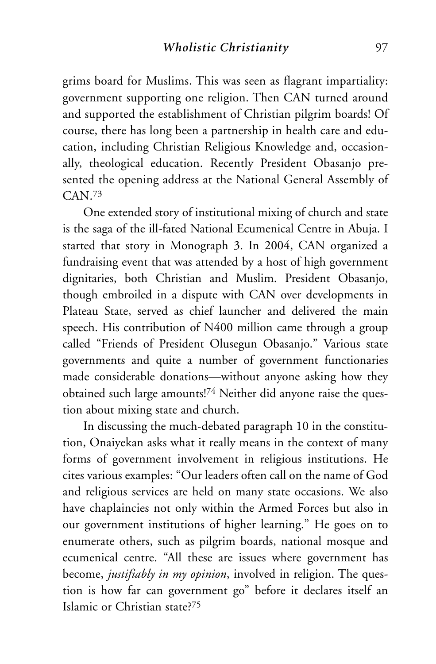grims board for Muslims. This was seen as flagrant impartiality: government supporting one religion. Then CAN turned around and supported the establishment of Christian pilgrim boards! Of course, there has long been a partnership in health care and education, including Christian Religious Knowledge and, occasionally, theological education. Recently President Obasanjo presented the opening address at the National General Assembly of CAN.73

One extended story of institutional mixing of church and state is the saga of the ill-fated National Ecumenical Centre in Abuja. I started that story in Monograph 3. In 2004, CAN organized a fundraising event that was attended by a host of high government dignitaries, both Christian and Muslim. President Obasanjo, though embroiled in a dispute with CAN over developments in Plateau State, served as chief launcher and delivered the main speech. His contribution of N400 million came through a group called "Friends of President Olusegun Obasanjo." Various state governments and quite a number of government functionaries made considerable donations—without anyone asking how they obtained such large amounts!74 Neither did anyone raise the question about mixing state and church.

In discussing the much-debated paragraph 10 in the constitution, Onaiyekan asks what it really means in the context of many forms of government involvement in religious institutions. He cites various examples: "Our leaders often call on the name of God and religious services are held on many state occasions. We also have chaplaincies not only within the Armed Forces but also in our government institutions of higher learning." He goes on to enumerate others, such as pilgrim boards, national mosque and ecumenical centre. "All these are issues where government has become, *justifiably in my opinion*, involved in religion. The question is how far can government go" before it declares itself an Islamic or Christian state?75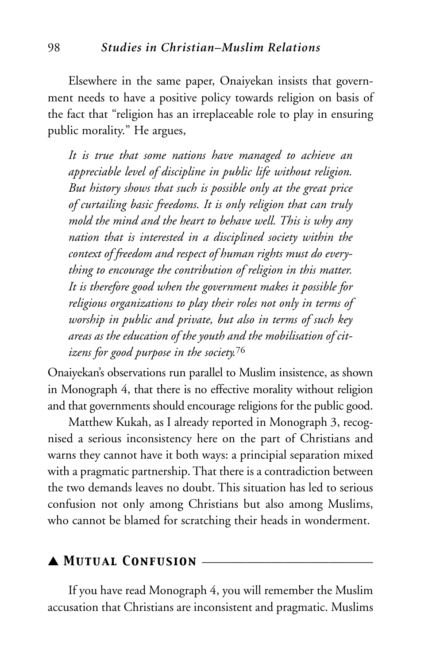Elsewhere in the same paper, Onaiyekan insists that government needs to have a positive policy towards religion on basis of the fact that "religion has an irreplaceable role to play in ensuring public morality." He argues,

*It is true that some nations have managed to achieve an appreciable level of discipline in public life without religion. But history shows that such is possible only at the great price of curtailing basic freedoms. It is only religion that can truly mold the mind and the heart to behave well. This is why any nation that is interested in a disciplined society within the context of freedom and respect of human rights must do everything to encourage the contribution of religion in this matter. It is therefore good when the government makes it possible for religious organizations to play their roles not only in terms of worship in public and private, but also in terms of such key areas as the education of the youth and the mobilisation of citizens for good purpose in the society.*<sup>76</sup>

Onaiyekan's observations run parallel to Muslim insistence, as shown in Monograph 4, that there is no effective morality without religion and that governments should encourage religions for the public good.

Matthew Kukah, as I already reported in Monograph 3, recognised a serious inconsistency here on the part of Christians and warns they cannot have it both ways: a principial separation mixed with a pragmatic partnership. That there is a contradiction between the two demands leaves no doubt. This situation has led to serious confusion not only among Christians but also among Muslims, who cannot be blamed for scratching their heads in wonderment.

#### ▲ *Mutual Confusion* \_\_\_\_\_\_\_\_\_\_\_\_\_\_\_\_\_\_\_\_\_\_\_\_\_\_\_

If you have read Monograph 4, you will remember the Muslim accusation that Christians are inconsistent and pragmatic. Muslims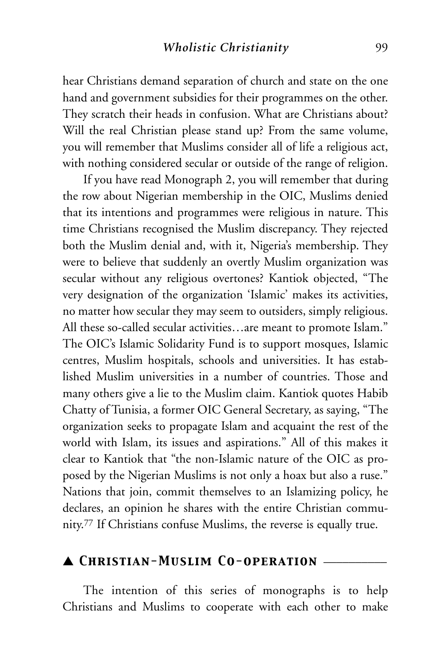hear Christians demand separation of church and state on the one hand and government subsidies for their programmes on the other. They scratch their heads in confusion. What are Christians about? Will the real Christian please stand up? From the same volume, you will remember that Muslims consider all of life a religious act, with nothing considered secular or outside of the range of religion.

If you have read Monograph 2, you will remember that during the row about Nigerian membership in the OIC, Muslims denied that its intentions and programmes were religious in nature. This time Christians recognised the Muslim discrepancy. They rejected both the Muslim denial and, with it, Nigeria's membership. They were to believe that suddenly an overtly Muslim organization was secular without any religious overtones? Kantiok objected, "The very designation of the organization 'Islamic' makes its activities, no matter how secular they may seem to outsiders, simply religious. All these so-called secular activities…are meant to promote Islam." The OIC's Islamic Solidarity Fund is to support mosques, Islamic centres, Muslim hospitals, schools and universities. It has established Muslim universities in a number of countries. Those and many others give a lie to the Muslim claim. Kantiok quotes Habib Chatty of Tunisia, a former OIC General Secretary, as saying, "The organization seeks to propagate Islam and acquaint the rest of the world with Islam, its issues and aspirations." All of this makes it clear to Kantiok that "the non-Islamic nature of the OIC as proposed by the Nigerian Muslims is not only a hoax but also a ruse." Nations that join, commit themselves to an Islamizing policy, he declares, an opinion he shares with the entire Christian community.77 If Christians confuse Muslims, the reverse is equally true.

## ▲ *Christian-Muslim Co-operation* \_\_\_\_\_\_\_\_\_\_

The intention of this series of monographs is to help Christians and Muslims to cooperate with each other to make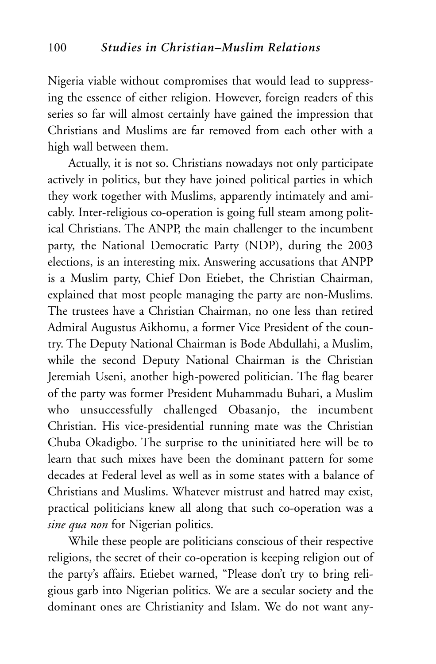Nigeria viable without compromises that would lead to suppressing the essence of either religion. However, foreign readers of this series so far will almost certainly have gained the impression that Christians and Muslims are far removed from each other with a high wall between them.

Actually, it is not so. Christians nowadays not only participate actively in politics, but they have joined political parties in which they work together with Muslims, apparently intimately and amicably. Inter-religious co-operation is going full steam among political Christians. The ANPP, the main challenger to the incumbent party, the National Democratic Party (NDP), during the 2003 elections, is an interesting mix. Answering accusations that ANPP is a Muslim party, Chief Don Etiebet, the Christian Chairman, explained that most people managing the party are non-Muslims. The trustees have a Christian Chairman, no one less than retired Admiral Augustus Aikhomu, a former Vice President of the country. The Deputy National Chairman is Bode Abdullahi, a Muslim, while the second Deputy National Chairman is the Christian Jeremiah Useni, another high-powered politician. The flag bearer of the party was former President Muhammadu Buhari, a Muslim who unsuccessfully challenged Obasanjo, the incumbent Christian. His vice-presidential running mate was the Christian Chuba Okadigbo. The surprise to the uninitiated here will be to learn that such mixes have been the dominant pattern for some decades at Federal level as well as in some states with a balance of Christians and Muslims. Whatever mistrust and hatred may exist, practical politicians knew all along that such co-operation was a *sine qua non* for Nigerian politics.

While these people are politicians conscious of their respective religions, the secret of their co-operation is keeping religion out of the party's affairs. Etiebet warned, "Please don't try to bring religious garb into Nigerian politics. We are a secular society and the dominant ones are Christianity and Islam. We do not want any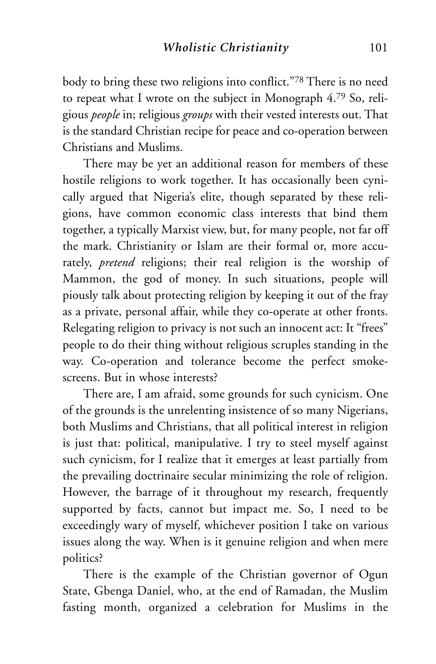body to bring these two religions into conflict."78 There is no need to repeat what I wrote on the subject in Monograph 4.79 So, religious *people* in; religious *groups* with their vested interests out. That is the standard Christian recipe for peace and co-operation between Christians and Muslims.

There may be yet an additional reason for members of these hostile religions to work together. It has occasionally been cynically argued that Nigeria's elite, though separated by these religions, have common economic class interests that bind them together, a typically Marxist view, but, for many people, not far off the mark. Christianity or Islam are their formal or, more accurately, *pretend* religions; their real religion is the worship of Mammon, the god of money. In such situations, people will piously talk about protecting religion by keeping it out of the fray as a private, personal affair, while they co-operate at other fronts. Relegating religion to privacy is not such an innocent act: It "frees" people to do their thing without religious scruples standing in the way. Co-operation and tolerance become the perfect smokescreens. But in whose interests?

There are, I am afraid, some grounds for such cynicism. One of the grounds is the unrelenting insistence of so many Nigerians, both Muslims and Christians, that all political interest in religion is just that: political, manipulative. I try to steel myself against such cynicism, for I realize that it emerges at least partially from the prevailing doctrinaire secular minimizing the role of religion. However, the barrage of it throughout my research, frequently supported by facts, cannot but impact me. So, I need to be exceedingly wary of myself, whichever position I take on various issues along the way. When is it genuine religion and when mere politics?

There is the example of the Christian governor of Ogun State, Gbenga Daniel, who, at the end of Ramadan, the Muslim fasting month, organized a celebration for Muslims in the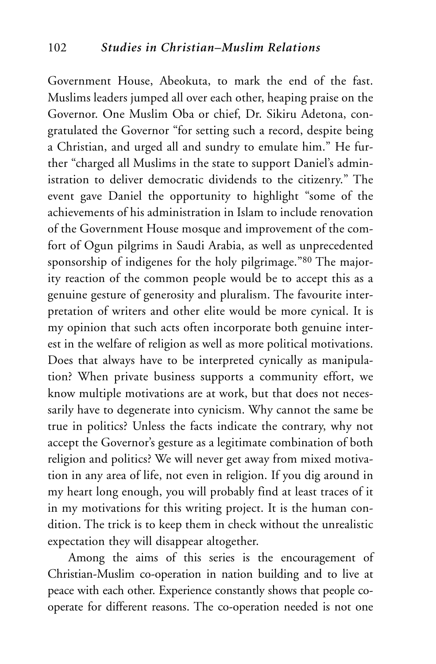Government House, Abeokuta, to mark the end of the fast. Muslims leaders jumped all over each other, heaping praise on the Governor. One Muslim Oba or chief, Dr. Sikiru Adetona, congratulated the Governor "for setting such a record, despite being a Christian, and urged all and sundry to emulate him." He further "charged all Muslims in the state to support Daniel's administration to deliver democratic dividends to the citizenry." The event gave Daniel the opportunity to highlight "some of the achievements of his administration in Islam to include renovation of the Government House mosque and improvement of the comfort of Ogun pilgrims in Saudi Arabia, as well as unprecedented sponsorship of indigenes for the holy pilgrimage."80 The majority reaction of the common people would be to accept this as a genuine gesture of generosity and pluralism. The favourite interpretation of writers and other elite would be more cynical. It is my opinion that such acts often incorporate both genuine interest in the welfare of religion as well as more political motivations. Does that always have to be interpreted cynically as manipulation? When private business supports a community effort, we know multiple motivations are at work, but that does not necessarily have to degenerate into cynicism. Why cannot the same be true in politics? Unless the facts indicate the contrary, why not accept the Governor's gesture as a legitimate combination of both religion and politics? We will never get away from mixed motivation in any area of life, not even in religion. If you dig around in my heart long enough, you will probably find at least traces of it in my motivations for this writing project. It is the human condition. The trick is to keep them in check without the unrealistic expectation they will disappear altogether.

Among the aims of this series is the encouragement of Christian-Muslim co-operation in nation building and to live at peace with each other. Experience constantly shows that people cooperate for different reasons. The co-operation needed is not one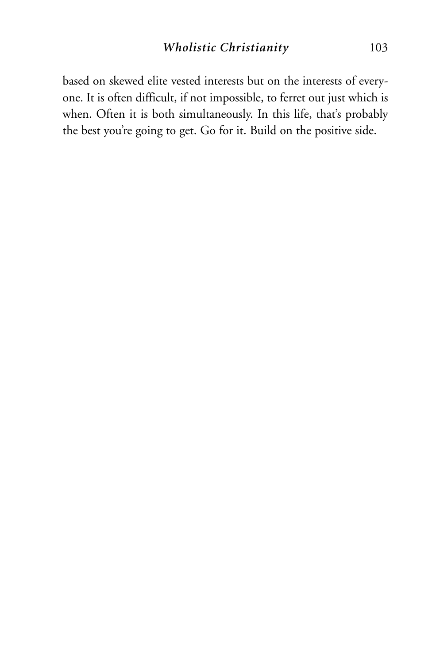based on skewed elite vested interests but on the interests of everyone. It is often difficult, if not impossible, to ferret out just which is when. Often it is both simultaneously. In this life, that's probably the best you're going to get. Go for it. Build on the positive side.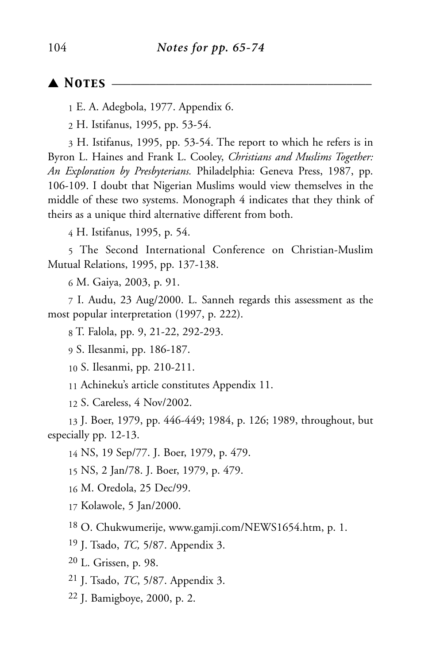#### ▲ *Notes* \_\_\_\_\_\_\_\_\_\_\_\_\_\_\_\_\_\_\_\_\_\_\_\_\_\_\_\_\_\_\_\_\_\_\_\_\_\_\_\_\_

E. A. Adegbola, 1977. Appendix 6.

H. Istifanus, 1995, pp. 53-54.

 H. Istifanus, 1995, pp. 53-54. The report to which he refers is in Byron L. Haines and Frank L. Cooley, *Christians and Muslims Together: An Exploration by Presbyterians.* Philadelphia: Geneva Press, 1987, pp. 106-109. I doubt that Nigerian Muslims would view themselves in the middle of these two systems. Monograph 4 indicates that they think of theirs as a unique third alternative different from both.

H. Istifanus, 1995, p. 54.

 The Second International Conference on Christian-Muslim Mutual Relations, 1995, pp. 137-138.

M. Gaiya, 2003, p. 91.

 I. Audu, 23 Aug/2000. L. Sanneh regards this assessment as the most popular interpretation (1997, p. 222).

T. Falola, pp. 9, 21-22, 292-293.

S. Ilesanmi, pp. 186-187.

S. Ilesanmi, pp. 210-211.

Achineku's article constitutes Appendix 11.

S. Careless, 4 Nov/2002.

 J. Boer, 1979, pp. 446-449; 1984, p. 126; 1989, throughout, but especially pp. 12-13.

NS, 19 Sep/77. J. Boer, 1979, p. 479.

NS, 2 Jan/78. J. Boer, 1979, p. 479.

M. Oredola, 25 Dec/99.

Kolawole, 5 Jan/2000.

O. Chukwumerije, www.gamji.com/NEWS1654.htm, p. 1.

J. Tsado, *TC,* 5/87. Appendix 3.

L. Grissen, p. 98.

J. Tsado, *TC*, 5/87. Appendix 3.

J. Bamigboye, 2000, p. 2.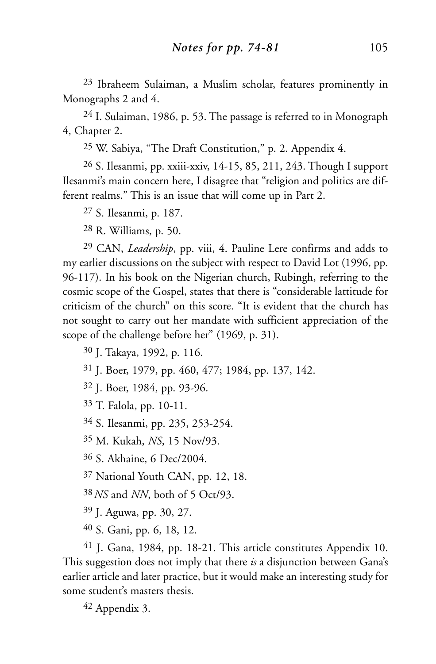23 Ibraheem Sulaiman, a Muslim scholar, features prominently in Monographs 2 and 4.

24 I. Sulaiman, 1986, p. 53. The passage is referred to in Monograph 4, Chapter 2.

25 W. Sabiya, "The Draft Constitution," p. 2. Appendix 4.

26 S. Ilesanmi, pp. xxiii-xxiv, 14-15, 85, 211, 243. Though I support Ilesanmi's main concern here, I disagree that "religion and politics are different realms." This is an issue that will come up in Part 2.

27 S. Ilesanmi, p. 187.

28 R. Williams, p. 50.

29 CAN, *Leadership*, pp. viii, 4. Pauline Lere confirms and adds to my earlier discussions on the subject with respect to David Lot (1996, pp. 96-117). In his book on the Nigerian church, Rubingh, referring to the cosmic scope of the Gospel, states that there is "considerable lattitude for criticism of the church" on this score. "It is evident that the church has not sought to carry out her mandate with sufficient appreciation of the scope of the challenge before her" (1969, p. 31).

30 J. Takaya, 1992, p. 116.

31 J. Boer, 1979, pp. 460, 477; 1984, pp. 137, 142.

32 J. Boer, 1984, pp. 93-96.

33 T. Falola, pp. 10-11.

34 S. Ilesanmi, pp. 235, 253-254.

35 M. Kukah, *NS*, 15 Nov/93.

36 S. Akhaine, 6 Dec/2004.

37 National Youth CAN, pp. 12, 18.

38*NS* and *NN*, both of 5 Oct/93.

39 J. Aguwa, pp. 30, 27.

40 S. Gani, pp. 6, 18, 12.

41 J. Gana, 1984, pp. 18-21. This article constitutes Appendix 10. This suggestion does not imply that there *is* a disjunction between Gana's earlier article and later practice, but it would make an interesting study for some student's masters thesis.

42 Appendix 3.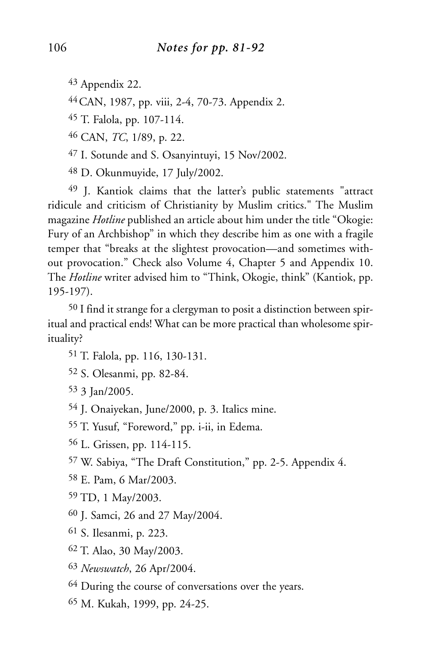Appendix 22.

44CAN, 1987, pp. viii, 2-4, 70-73. Appendix 2.

T. Falola, pp. 107-114.

CAN, *TC*, 1/89, p. 22.

I. Sotunde and S. Osanyintuyi, 15 Nov/2002.

D. Okunmuyide, 17 July/2002.

 J. Kantiok claims that the latter's public statements "attract ridicule and criticism of Christianity by Muslim critics." The Muslim magazine *Hotline* published an article about him under the title "Okogie: Fury of an Archbishop" in which they describe him as one with a fragile temper that "breaks at the slightest provocation—and sometimes without provocation." Check also Volume 4, Chapter 5 and Appendix 10. The *Hotline* writer advised him to "Think, Okogie, think" (Kantiok, pp. 195-197).

 I find it strange for a clergyman to posit a distinction between spiritual and practical ends! What can be more practical than wholesome spirituality?

T. Falola, pp. 116, 130-131.

S. Olesanmi, pp. 82-84.

3 Jan/2005.

J. Onaiyekan, June/2000, p. 3. Italics mine.

T. Yusuf, "Foreword," pp. i-ii, in Edema.

L. Grissen, pp. 114-115.

W. Sabiya, "The Draft Constitution," pp. 2-5. Appendix 4.

E. Pam, 6 Mar/2003.

TD, 1 May/2003.

J. Samci, 26 and 27 May/2004.

S. Ilesanmi, p. 223.

T. Alao, 30 May/2003.

*Newswatch*, 26 Apr/2004.

<sup>64</sup> During the course of conversations over the years.

M. Kukah, 1999, pp. 24-25.